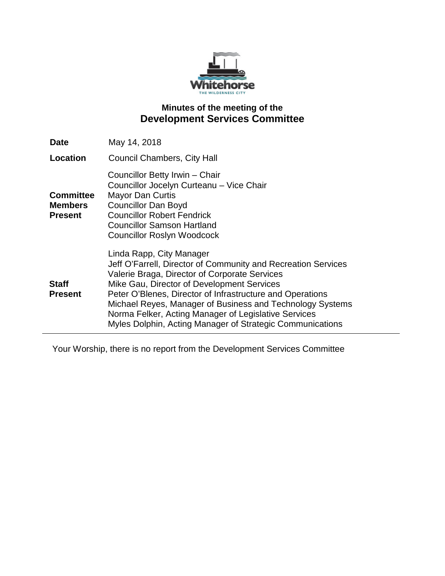

# **Minutes of the meeting of the Development Services Committee**

| Date                                                 | May 14, 2018                                                                                                                                                                                                                                                                                                                                                                                                                            |
|------------------------------------------------------|-----------------------------------------------------------------------------------------------------------------------------------------------------------------------------------------------------------------------------------------------------------------------------------------------------------------------------------------------------------------------------------------------------------------------------------------|
| Location                                             | <b>Council Chambers, City Hall</b>                                                                                                                                                                                                                                                                                                                                                                                                      |
| <b>Committee</b><br><b>Members</b><br><b>Present</b> | Councillor Betty Irwin - Chair<br>Councillor Jocelyn Curteanu - Vice Chair<br><b>Mayor Dan Curtis</b><br><b>Councillor Dan Boyd</b><br><b>Councillor Robert Fendrick</b><br>Councillor Samson Hartland<br><b>Councillor Roslyn Woodcock</b>                                                                                                                                                                                             |
| <b>Staff</b><br><b>Present</b>                       | Linda Rapp, City Manager<br>Jeff O'Farrell, Director of Community and Recreation Services<br>Valerie Braga, Director of Corporate Services<br>Mike Gau, Director of Development Services<br>Peter O'Blenes, Director of Infrastructure and Operations<br>Michael Reyes, Manager of Business and Technology Systems<br>Norma Felker, Acting Manager of Legislative Services<br>Myles Dolphin, Acting Manager of Strategic Communications |

Your Worship, there is no report from the Development Services Committee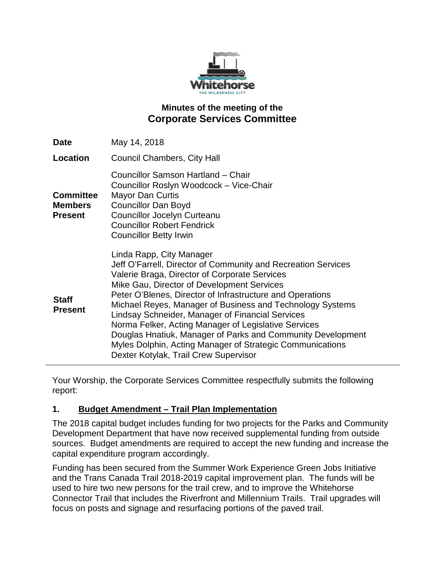

# **Minutes of the meeting of the Corporate Services Committee**

| <b>Date</b>                                          | May 14, 2018                                                                                                                                                                                                                                                                                                                                                                                                                                                                                                                                                                                        |
|------------------------------------------------------|-----------------------------------------------------------------------------------------------------------------------------------------------------------------------------------------------------------------------------------------------------------------------------------------------------------------------------------------------------------------------------------------------------------------------------------------------------------------------------------------------------------------------------------------------------------------------------------------------------|
| <b>Location</b>                                      | <b>Council Chambers, City Hall</b>                                                                                                                                                                                                                                                                                                                                                                                                                                                                                                                                                                  |
| <b>Committee</b><br><b>Members</b><br><b>Present</b> | Councillor Samson Hartland - Chair<br>Councillor Roslyn Woodcock - Vice-Chair<br><b>Mayor Dan Curtis</b><br><b>Councillor Dan Boyd</b><br><b>Councillor Jocelyn Curteanu</b><br><b>Councillor Robert Fendrick</b><br><b>Councillor Betty Irwin</b>                                                                                                                                                                                                                                                                                                                                                  |
| <b>Staff</b><br><b>Present</b>                       | Linda Rapp, City Manager<br>Jeff O'Farrell, Director of Community and Recreation Services<br>Valerie Braga, Director of Corporate Services<br>Mike Gau, Director of Development Services<br>Peter O'Blenes, Director of Infrastructure and Operations<br>Michael Reyes, Manager of Business and Technology Systems<br>Lindsay Schneider, Manager of Financial Services<br>Norma Felker, Acting Manager of Legislative Services<br>Douglas Hnatiuk, Manager of Parks and Community Development<br>Myles Dolphin, Acting Manager of Strategic Communications<br>Dexter Kotylak, Trail Crew Supervisor |

Your Worship, the Corporate Services Committee respectfully submits the following report:

### **1. Budget Amendment – Trail Plan Implementation**

The 2018 capital budget includes funding for two projects for the Parks and Community Development Department that have now received supplemental funding from outside sources. Budget amendments are required to accept the new funding and increase the capital expenditure program accordingly.

Funding has been secured from the Summer Work Experience Green Jobs Initiative and the Trans Canada Trail 2018-2019 capital improvement plan. The funds will be used to hire two new persons for the trail crew, and to improve the Whitehorse Connector Trail that includes the Riverfront and Millennium Trails. Trail upgrades will focus on posts and signage and resurfacing portions of the paved trail.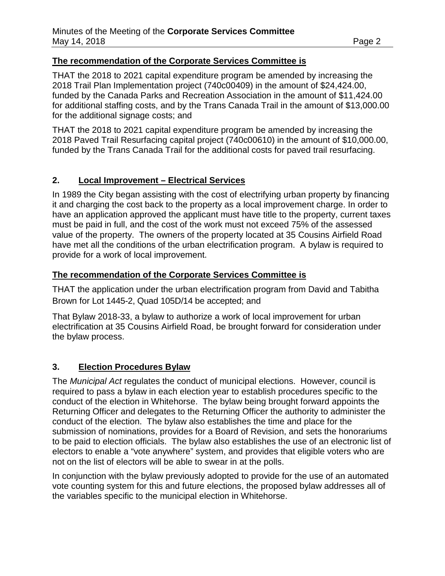#### **The recommendation of the Corporate Services Committee is**

THAT the 2018 to 2021 capital expenditure program be amended by increasing the 2018 Trail Plan Implementation project (740c00409) in the amount of \$24,424.00, funded by the Canada Parks and Recreation Association in the amount of \$11,424.00 for additional staffing costs, and by the Trans Canada Trail in the amount of \$13,000.00 for the additional signage costs; and

THAT the 2018 to 2021 capital expenditure program be amended by increasing the 2018 Paved Trail Resurfacing capital project (740c00610) in the amount of \$10,000.00, funded by the Trans Canada Trail for the additional costs for paved trail resurfacing.

#### **2. Local Improvement – Electrical Services**

In 1989 the City began assisting with the cost of electrifying urban property by financing it and charging the cost back to the property as a local improvement charge. In order to have an application approved the applicant must have title to the property, current taxes must be paid in full, and the cost of the work must not exceed 75% of the assessed value of the property. The owners of the property located at 35 Cousins Airfield Road have met all the conditions of the urban electrification program. A bylaw is required to provide for a work of local improvement.

#### **The recommendation of the Corporate Services Committee is**

THAT the application under the urban electrification program from David and Tabitha Brown for Lot 1445-2, Quad 105D/14 be accepted; and

That Bylaw 2018-33, a bylaw to authorize a work of local improvement for urban electrification at 35 Cousins Airfield Road, be brought forward for consideration under the bylaw process.

### **3. Election Procedures Bylaw**

The *Municipal Act* regulates the conduct of municipal elections. However, council is required to pass a bylaw in each election year to establish procedures specific to the conduct of the election in Whitehorse. The bylaw being brought forward appoints the Returning Officer and delegates to the Returning Officer the authority to administer the conduct of the election. The bylaw also establishes the time and place for the submission of nominations, provides for a Board of Revision, and sets the honorariums to be paid to election officials. The bylaw also establishes the use of an electronic list of electors to enable a "vote anywhere" system, and provides that eligible voters who are not on the list of electors will be able to swear in at the polls.

In conjunction with the bylaw previously adopted to provide for the use of an automated vote counting system for this and future elections, the proposed bylaw addresses all of the variables specific to the municipal election in Whitehorse.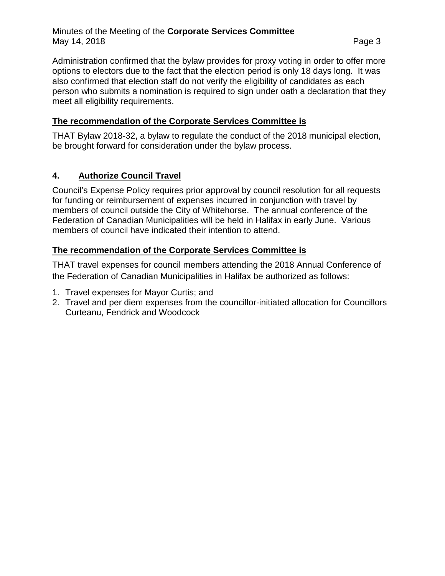Administration confirmed that the bylaw provides for proxy voting in order to offer more options to electors due to the fact that the election period is only 18 days long. It was also confirmed that election staff do not verify the eligibility of candidates as each person who submits a nomination is required to sign under oath a declaration that they meet all eligibility requirements.

### **The recommendation of the Corporate Services Committee is**

THAT Bylaw 2018-32, a bylaw to regulate the conduct of the 2018 municipal election, be brought forward for consideration under the bylaw process.

### **4. Authorize Council Travel**

Council's Expense Policy requires prior approval by council resolution for all requests for funding or reimbursement of expenses incurred in conjunction with travel by members of council outside the City of Whitehorse. The annual conference of the Federation of Canadian Municipalities will be held in Halifax in early June. Various members of council have indicated their intention to attend.

### **The recommendation of the Corporate Services Committee is**

THAT travel expenses for council members attending the 2018 Annual Conference of the Federation of Canadian Municipalities in Halifax be authorized as follows:

- 1. Travel expenses for Mayor Curtis; and
- 2. Travel and per diem expenses from the councillor-initiated allocation for Councillors Curteanu, Fendrick and Woodcock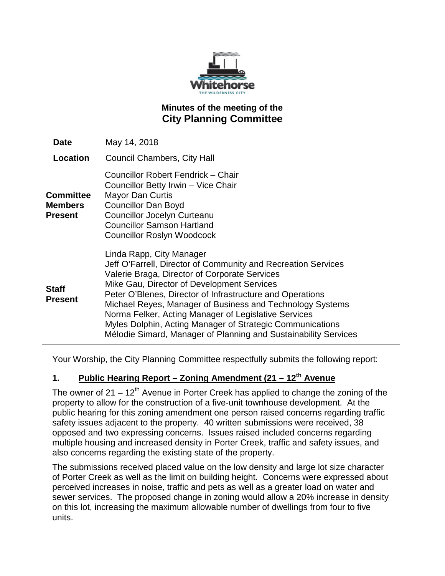

# **Minutes of the meeting of the City Planning Committee**

| Date                                                 | May 14, 2018                                                                                                                                                                                                                                                                                                                                                                                                                                                                                               |
|------------------------------------------------------|------------------------------------------------------------------------------------------------------------------------------------------------------------------------------------------------------------------------------------------------------------------------------------------------------------------------------------------------------------------------------------------------------------------------------------------------------------------------------------------------------------|
| Location                                             | <b>Council Chambers, City Hall</b>                                                                                                                                                                                                                                                                                                                                                                                                                                                                         |
| <b>Committee</b><br><b>Members</b><br><b>Present</b> | Councillor Robert Fendrick - Chair<br>Councillor Betty Irwin - Vice Chair<br>Mayor Dan Curtis<br><b>Councillor Dan Boyd</b><br><b>Councillor Jocelyn Curteanu</b><br><b>Councillor Samson Hartland</b><br><b>Councillor Roslyn Woodcock</b>                                                                                                                                                                                                                                                                |
| <b>Staff</b><br><b>Present</b>                       | Linda Rapp, City Manager<br>Jeff O'Farrell, Director of Community and Recreation Services<br>Valerie Braga, Director of Corporate Services<br>Mike Gau, Director of Development Services<br>Peter O'Blenes, Director of Infrastructure and Operations<br>Michael Reyes, Manager of Business and Technology Systems<br>Norma Felker, Acting Manager of Legislative Services<br>Myles Dolphin, Acting Manager of Strategic Communications<br>Mélodie Simard, Manager of Planning and Sustainability Services |

Your Worship, the City Planning Committee respectfully submits the following report:

# **1. Public Hearing Report – Zoning Amendment (21 – 12th Avenue**

The owner of  $21 - 12<sup>th</sup>$  Avenue in Porter Creek has applied to change the zoning of the property to allow for the construction of a five-unit townhouse development. At the public hearing for this zoning amendment one person raised concerns regarding traffic safety issues adjacent to the property. 40 written submissions were received, 38 opposed and two expressing concerns. Issues raised included concerns regarding multiple housing and increased density in Porter Creek, traffic and safety issues, and also concerns regarding the existing state of the property.

The submissions received placed value on the low density and large lot size character of Porter Creek as well as the limit on building height. Concerns were expressed about perceived increases in noise, traffic and pets as well as a greater load on water and sewer services. The proposed change in zoning would allow a 20% increase in density on this lot, increasing the maximum allowable number of dwellings from four to five units.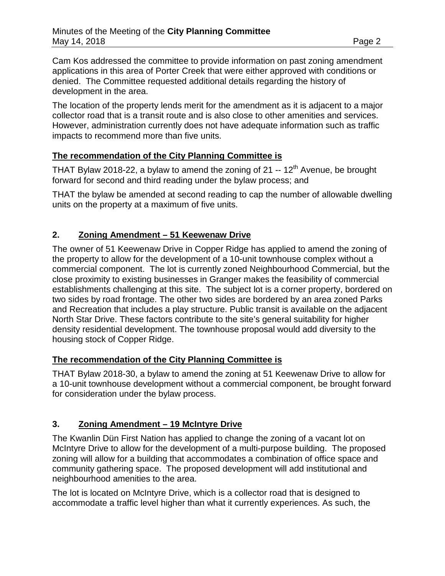Cam Kos addressed the committee to provide information on past zoning amendment applications in this area of Porter Creek that were either approved with conditions or denied. The Committee requested additional details regarding the history of development in the area.

The location of the property lends merit for the amendment as it is adjacent to a major collector road that is a transit route and is also close to other amenities and services. However, administration currently does not have adequate information such as traffic impacts to recommend more than five units.

### **The recommendation of the City Planning Committee is**

THAT Bylaw 2018-22, a bylaw to amend the zoning of 21  $-$  12<sup>th</sup> Avenue, be brought forward for second and third reading under the bylaw process; and

THAT the bylaw be amended at second reading to cap the number of allowable dwelling units on the property at a maximum of five units.

### **2. Zoning Amendment – 51 Keewenaw Drive**

The owner of 51 Keewenaw Drive in Copper Ridge has applied to amend the zoning of the property to allow for the development of a 10-unit townhouse complex without a commercial component. The lot is currently zoned Neighbourhood Commercial, but the close proximity to existing businesses in Granger makes the feasibility of commercial establishments challenging at this site. The subject lot is a corner property, bordered on two sides by road frontage. The other two sides are bordered by an area zoned Parks and Recreation that includes a play structure. Public transit is available on the adjacent North Star Drive. These factors contribute to the site's general suitability for higher density residential development. The townhouse proposal would add diversity to the housing stock of Copper Ridge.

### **The recommendation of the City Planning Committee is**

THAT Bylaw 2018-30, a bylaw to amend the zoning at 51 Keewenaw Drive to allow for a 10-unit townhouse development without a commercial component, be brought forward for consideration under the bylaw process.

# **3. Zoning Amendment – 19 McIntyre Drive**

The Kwanlin Dün First Nation has applied to change the zoning of a vacant lot on McIntyre Drive to allow for the development of a multi-purpose building. The proposed zoning will allow for a building that accommodates a combination of office space and community gathering space. The proposed development will add institutional and neighbourhood amenities to the area.

The lot is located on McIntyre Drive, which is a collector road that is designed to accommodate a traffic level higher than what it currently experiences. As such, the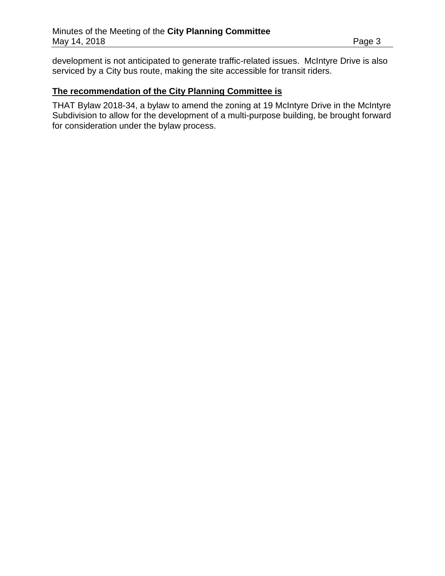development is not anticipated to generate traffic-related issues. McIntyre Drive is also serviced by a City bus route, making the site accessible for transit riders.

### **The recommendation of the City Planning Committee is**

THAT Bylaw 2018-34, a bylaw to amend the zoning at 19 McIntyre Drive in the McIntyre Subdivision to allow for the development of a multi-purpose building, be brought forward for consideration under the bylaw process.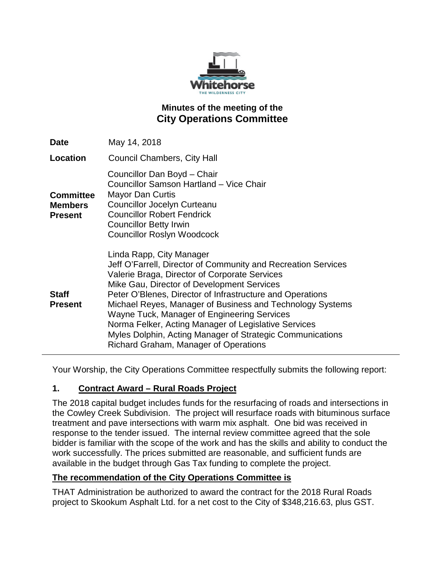

# **Minutes of the meeting of the City Operations Committee**

| <b>Date</b>                                          | May 14, 2018                                                                                                                                                                                                                                                                                                                                                                                                                                                                                                                    |
|------------------------------------------------------|---------------------------------------------------------------------------------------------------------------------------------------------------------------------------------------------------------------------------------------------------------------------------------------------------------------------------------------------------------------------------------------------------------------------------------------------------------------------------------------------------------------------------------|
| Location                                             | <b>Council Chambers, City Hall</b>                                                                                                                                                                                                                                                                                                                                                                                                                                                                                              |
| <b>Committee</b><br><b>Members</b><br><b>Present</b> | Councillor Dan Boyd - Chair<br>Councillor Samson Hartland - Vice Chair<br><b>Mayor Dan Curtis</b><br>Councillor Jocelyn Curteanu<br><b>Councillor Robert Fendrick</b><br><b>Councillor Betty Irwin</b><br><b>Councillor Roslyn Woodcock</b>                                                                                                                                                                                                                                                                                     |
| <b>Staff</b><br><b>Present</b>                       | Linda Rapp, City Manager<br>Jeff O'Farrell, Director of Community and Recreation Services<br>Valerie Braga, Director of Corporate Services<br>Mike Gau, Director of Development Services<br>Peter O'Blenes, Director of Infrastructure and Operations<br>Michael Reyes, Manager of Business and Technology Systems<br>Wayne Tuck, Manager of Engineering Services<br>Norma Felker, Acting Manager of Legislative Services<br>Myles Dolphin, Acting Manager of Strategic Communications<br>Richard Graham, Manager of Operations |

Your Worship, the City Operations Committee respectfully submits the following report:

### **1. Contract Award – Rural Roads Project**

The 2018 capital budget includes funds for the resurfacing of roads and intersections in the Cowley Creek Subdivision. The project will resurface roads with bituminous surface treatment and pave intersections with warm mix asphalt. One bid was received in response to the tender issued. The internal review committee agreed that the sole bidder is familiar with the scope of the work and has the skills and ability to conduct the work successfully. The prices submitted are reasonable, and sufficient funds are available in the budget through Gas Tax funding to complete the project.

### **The recommendation of the City Operations Committee is**

THAT Administration be authorized to award the contract for the 2018 Rural Roads project to Skookum Asphalt Ltd. for a net cost to the City of \$348,216.63, plus GST.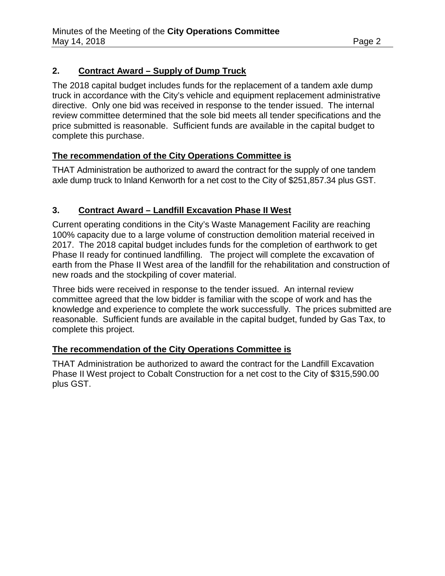# **2. Contract Award – Supply of Dump Truck**

The 2018 capital budget includes funds for the replacement of a tandem axle dump truck in accordance with the City's vehicle and equipment replacement administrative directive. Only one bid was received in response to the tender issued. The internal review committee determined that the sole bid meets all tender specifications and the price submitted is reasonable. Sufficient funds are available in the capital budget to complete this purchase.

# **The recommendation of the City Operations Committee is**

THAT Administration be authorized to award the contract for the supply of one tandem axle dump truck to Inland Kenworth for a net cost to the City of \$251,857.34 plus GST.

# **3. Contract Award – Landfill Excavation Phase II West**

Current operating conditions in the City's Waste Management Facility are reaching 100% capacity due to a large volume of construction demolition material received in 2017. The 2018 capital budget includes funds for the completion of earthwork to get Phase II ready for continued landfilling. The project will complete the excavation of earth from the Phase II West area of the landfill for the rehabilitation and construction of new roads and the stockpiling of cover material.

Three bids were received in response to the tender issued. An internal review committee agreed that the low bidder is familiar with the scope of work and has the knowledge and experience to complete the work successfully. The prices submitted are reasonable. Sufficient funds are available in the capital budget, funded by Gas Tax, to complete this project.

# **The recommendation of the City Operations Committee is**

THAT Administration be authorized to award the contract for the Landfill Excavation Phase II West project to Cobalt Construction for a net cost to the City of \$315,590.00 plus GST.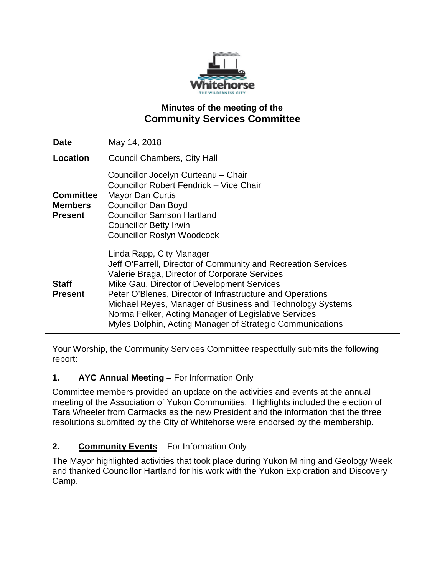

# **Minutes of the meeting of the Community Services Committee**

| <b>Date</b>                                          | May 14, 2018                                                                                                                                                                                                                                                                                                                                                                                                                            |
|------------------------------------------------------|-----------------------------------------------------------------------------------------------------------------------------------------------------------------------------------------------------------------------------------------------------------------------------------------------------------------------------------------------------------------------------------------------------------------------------------------|
| Location                                             | <b>Council Chambers, City Hall</b>                                                                                                                                                                                                                                                                                                                                                                                                      |
| <b>Committee</b><br><b>Members</b><br><b>Present</b> | Councillor Jocelyn Curteanu - Chair<br>Councillor Robert Fendrick - Vice Chair<br><b>Mayor Dan Curtis</b><br><b>Councillor Dan Boyd</b><br><b>Councillor Samson Hartland</b><br><b>Councillor Betty Irwin</b><br><b>Councillor Roslyn Woodcock</b>                                                                                                                                                                                      |
| <b>Staff</b><br><b>Present</b>                       | Linda Rapp, City Manager<br>Jeff O'Farrell, Director of Community and Recreation Services<br>Valerie Braga, Director of Corporate Services<br>Mike Gau, Director of Development Services<br>Peter O'Blenes, Director of Infrastructure and Operations<br>Michael Reyes, Manager of Business and Technology Systems<br>Norma Felker, Acting Manager of Legislative Services<br>Myles Dolphin, Acting Manager of Strategic Communications |

Your Worship, the Community Services Committee respectfully submits the following report:

### **1. AYC Annual Meeting** – For Information Only

Committee members provided an update on the activities and events at the annual meeting of the Association of Yukon Communities. Highlights included the election of Tara Wheeler from Carmacks as the new President and the information that the three resolutions submitted by the City of Whitehorse were endorsed by the membership.

# **2. Community Events** – For Information Only

The Mayor highlighted activities that took place during Yukon Mining and Geology Week and thanked Councillor Hartland for his work with the Yukon Exploration and Discovery Camp.